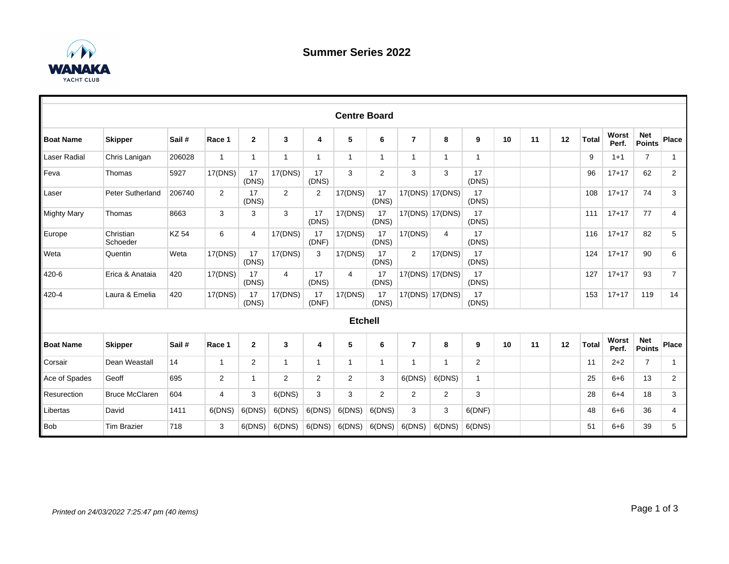

|                    |                         |              |                |                |              |                | <b>Centre Board</b> |                |                |                 |                |    |    |    |              |                |                             |                |
|--------------------|-------------------------|--------------|----------------|----------------|--------------|----------------|---------------------|----------------|----------------|-----------------|----------------|----|----|----|--------------|----------------|-----------------------------|----------------|
| <b>Boat Name</b>   | <b>Skipper</b>          | Sail#        | Race 1         | $\mathbf{2}$   | 3            | 4              | 5                   | 6              | $\overline{7}$ | 8               | 9              | 10 | 11 | 12 | <b>Total</b> | Worst<br>Perf. | <b>Net</b><br><b>Points</b> | Place          |
| Laser Radial       | Chris Lanigan           | 206028       | $\mathbf{1}$   | 1              | 1            | $\mathbf{1}$   |                     | $\overline{1}$ | 1              | 1               | $\overline{1}$ |    |    |    | 9            | $1 + 1$        | $\overline{7}$              | $\mathbf 1$    |
| Feva               | Thomas                  | 5927         | 17(DNS)        | 17<br>(DNS)    | 17(DNS)      | 17<br>(DNS)    | 3                   | $\overline{2}$ | 3              | 3               | 17<br>(DNS)    |    |    |    | 96           | $17 + 17$      | 62                          | $\overline{2}$ |
| Laser              | <b>Peter Sutherland</b> | 206740       | $\overline{2}$ | 17<br>(DNS)    | 2            | $\overline{2}$ | 17(DNS)             | 17<br>(DNS)    |                | 17(DNS) 17(DNS) | 17<br>(DNS)    |    |    |    | 108          | $17 + 17$      | 74                          | 3              |
| <b>Mighty Mary</b> | Thomas                  | 8663         | 3              | 3              | 3            | 17<br>(DNS)    | 17(DNS)             | 17<br>(DNS)    |                | 17(DNS) 17(DNS) | 17<br>(DNS)    |    |    |    | 111          | $17 + 17$      | 77                          | $\overline{4}$ |
| Europe             | Christian<br>Schoeder   | <b>KZ 54</b> | 6              | 4              | 17(DNS)      | 17<br>(DNF)    | 17(DNS)             | 17<br>(DNS)    | 17(DNS)        | 4               | 17<br>(DNS)    |    |    |    | 116          | $17 + 17$      | 82                          | 5              |
| Weta               | Quentin                 | Weta         | 17(DNS)        | 17<br>(DNS)    | 17(DNS)      | 3              | 17(DNS)             | 17<br>(DNS)    | $\overline{2}$ | 17(DNS)         | 17<br>(DNS)    |    |    |    | 124          | $17 + 17$      | 90                          | 6              |
| 420-6              | Erica & Anataia         | 420          | 17(DNS)        | 17<br>(DNS)    | 4            | 17<br>(DNS)    | 4                   | 17<br>(DNS)    |                | 17(DNS) 17(DNS) | 17<br>(DNS)    |    |    |    | 127          | $17 + 17$      | 93                          | $\overline{7}$ |
| 420-4              | Laura & Emelia          | 420          | 17(DNS)        | 17<br>(DNS)    | 17(DNS)      | 17<br>(DNF)    | 17(DNS)             | 17<br>(DNS)    |                | 17(DNS) 17(DNS) | 17<br>(DNS)    |    |    |    | 153          | $17 + 17$      | 119                         | 14             |
|                    |                         |              |                |                |              |                | <b>Etchell</b>      |                |                |                 |                |    |    |    |              |                |                             |                |
| <b>Boat Name</b>   | <b>Skipper</b>          | Sail#        | Race 1         | $\mathbf{2}$   | 3            | 4              | 5                   | 6              | $\overline{7}$ | 8               | 9              | 10 | 11 | 12 | <b>Total</b> | Worst<br>Perf. | <b>Net</b><br><b>Points</b> | Place          |
| Corsair            | Dean Weastall           | 14           | $\mathbf{1}$   | $\overline{2}$ | $\mathbf{1}$ | $\mathbf{1}$   | 1                   | $\mathbf 1$    | 1              | 1               | $\overline{2}$ |    |    |    | 11           | $2 + 2$        | $\overline{7}$              | $\mathbf{1}$   |
| Ace of Spades      | Geoff                   | 695          | 2              | $\mathbf{1}$   | 2            | $\overline{2}$ | $\overline{2}$      | 3              | 6(DNS)         | 6(DNS)          | $\mathbf{1}$   |    |    |    | 25           | $6 + 6$        | 13                          | $\overline{2}$ |
| Resurection        | <b>Bruce McClaren</b>   | 604          | 4              | 3              | 6(DNS)       | 3              | 3                   | 2              | $\overline{2}$ | $\overline{2}$  | 3              |    |    |    | 28           | $6 + 4$        | 18                          | 3              |
| Libertas           | David                   | 1411         | 6(DNS)         | 6(DNS)         | 6(DNS)       | 6(DNS)         | 6(DNS)              | 6(DNS)         | 3              | 3               | 6(DNF)         |    |    |    | 48           | $6 + 6$        | 36                          | 4              |
| <b>Bob</b>         | <b>Tim Brazier</b>      | 718          | 3              | 6(DNS)         | 6(DNS)       | 6(DNS)         | 6(DNS)              | 6(DNS)         | 6(DNS)         | 6(DNS)          | 6(DNS)         |    |    |    | 51           | $6 + 6$        | 39                          | 5              |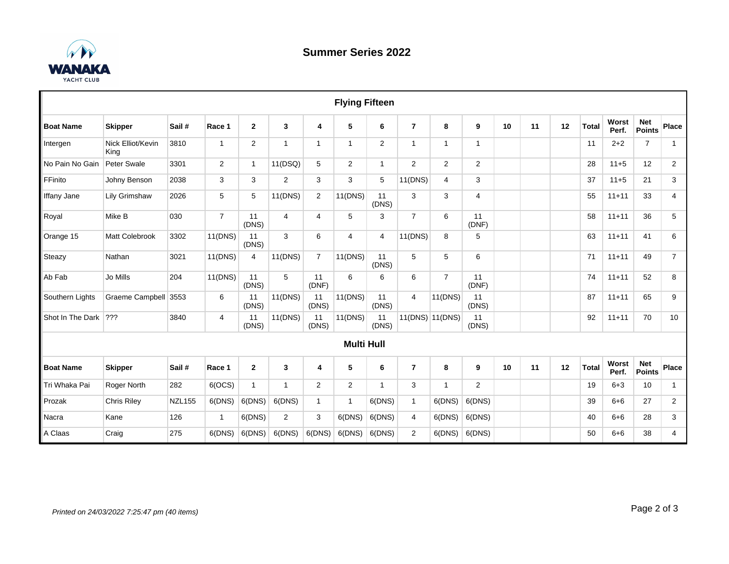

|                    |                           |               |                |                |                |                         | <b>Flying Fifteen</b> |              |                |                 |                |    |    |    |       |                |                             |                |
|--------------------|---------------------------|---------------|----------------|----------------|----------------|-------------------------|-----------------------|--------------|----------------|-----------------|----------------|----|----|----|-------|----------------|-----------------------------|----------------|
| <b>Boat Name</b>   | <b>Skipper</b>            | Sail #        | Race 1         | $\mathbf{2}$   | 3              | 4                       | 5                     | 6            | $\overline{7}$ | 8               | 9              | 10 | 11 | 12 | Total | Worst<br>Perf. | <b>Net</b><br><b>Points</b> | Place          |
| Intergen           | Nick Elliot/Kevin<br>King | 3810          | $\mathbf{1}$   | $\overline{2}$ | $\mathbf{1}$   | $\mathbf{1}$            | 1                     | 2            | $\mathbf{1}$   | $\mathbf{1}$    | $\mathbf{1}$   |    |    |    | 11    | $2 + 2$        | $\overline{7}$              | $\mathbf{1}$   |
| No Pain No Gain    | Peter Swale               | 3301          | $\overline{2}$ | 1              | 11(DSQ)        | 5                       | $\mathbf{2}$          | $\mathbf{1}$ | $\mathbf{2}$   | $\overline{2}$  | $\mathbf{2}$   |    |    |    | 28    | $11+5$         | 12                          | $\mathbf{2}$   |
| FFinito            | Johny Benson              | 2038          | 3              | 3              | $\overline{2}$ | 3                       | 3                     | 5            | 11(DNS)        | $\overline{4}$  | 3              |    |    |    | 37    | $11+5$         | 21                          | 3              |
| <b>Iffany Jane</b> | <b>Lily Grimshaw</b>      | 2026          | $\sqrt{5}$     | 5              | 11(DNS)        | $\overline{\mathbf{c}}$ | 11(DNS)               | 11<br>(DNS)  | 3              | 3               | $\overline{4}$ |    |    |    | 55    | $11 + 11$      | 33                          | 4              |
| Royal              | Mike B                    | 030           | $\overline{7}$ | 11<br>(DNS)    | $\overline{4}$ | 4                       | 5                     | 3            | $\overline{7}$ | 6               | 11<br>(DNF)    |    |    |    | 58    | $11 + 11$      | 36                          | 5              |
| Orange 15          | Matt Colebrook            | 3302          | 11(DNS)        | 11<br>(DNS)    | 3              | 6                       | $\overline{4}$        | 4            | 11(DNS)        | 8               | 5              |    |    |    | 63    | $11 + 11$      | 41                          | 6              |
| Steazy             | Nathan                    | 3021          | 11(DNS)        | 4              | 11(DNS)        | $\overline{7}$          | 11(DNS)               | 11<br>(DNS)  | 5              | 5               | 6              |    |    |    | 71    | $11 + 11$      | 49                          | $\overline{7}$ |
| Ab Fab             | Jo Mills                  | 204           | 11(DNS)        | 11<br>(DNS)    | 5              | 11<br>(DNF)             | 6                     | 6            | 6              | $\overline{7}$  | 11<br>(DNF)    |    |    |    | 74    | $11 + 11$      | 52                          | 8              |
| Southern Lights    | Graeme Campbell           | 3553          | 6              | 11<br>(DNS)    | 11(DNS)        | 11<br>(DNS)             | 11(DNS)               | 11<br>(DNS)  | $\overline{4}$ | 11(DNS)         | 11<br>(DNS)    |    |    |    | 87    | $11 + 11$      | 65                          | 9              |
| Shot In The Dark   | 222                       | 3840          | $\overline{4}$ | 11<br>(DNS)    | 11(DNS)        | 11<br>(DNS)             | 11(DNS)               | 11<br>(DNS)  |                | 11(DNS) 11(DNS) | 11<br>(DNS)    |    |    |    | 92    | $11 + 11$      | 70                          | 10             |
|                    |                           |               |                |                |                |                         | <b>Multi Hull</b>     |              |                |                 |                |    |    |    |       |                |                             |                |
| <b>Boat Name</b>   | <b>Skipper</b>            | Sail#         | Race 1         | $\mathbf{2}$   | $\mathbf{3}$   | 4                       | 5                     | 6            | $\overline{7}$ | 8               | 9              | 10 | 11 | 12 | Total | Worst<br>Perf. | <b>Net</b><br><b>Points</b> | Place          |
| Tri Whaka Pai      | Roger North               | 282           | 6(OCS)         | $\mathbf{1}$   | $\mathbf{1}$   | $\mathbf{2}^{\prime}$   | $\mathbf{2}$          | $\mathbf{1}$ | 3              | $\mathbf{1}$    | $\overline{2}$ |    |    |    | 19    | $6 + 3$        | 10                          | $\mathbf{1}$   |
| Prozak             | <b>Chris Rilev</b>        | <b>NZL155</b> | 6(DNS)         | 6(DNS)         | 6(DNS)         | $\mathbf{1}$            | $\mathbf{1}$          | 6(DNS)       | $\mathbf{1}$   | 6(DNS)          | 6(DNS)         |    |    |    | 39    | $6 + 6$        | 27                          | 2              |
| Nacra              | Kane                      | 126           | $\mathbf{1}$   | 6(DNS)         | 2              | 3                       | 6(DNS)                | 6(DNS)       | 4              | 6(DNS)          | 6(DNS)         |    |    |    | 40    | $6 + 6$        | 28                          | 3              |
| A Claas            | Craig                     | 275           | 6(DNS)         | 6(DNS)         | 6(DNS)         | 6(DNS)                  | 6(DNS)                | 6(DNS)       | $\overline{2}$ | 6(DNS)          | 6(DNS)         |    |    |    | 50    | $6 + 6$        | 38                          | 4              |